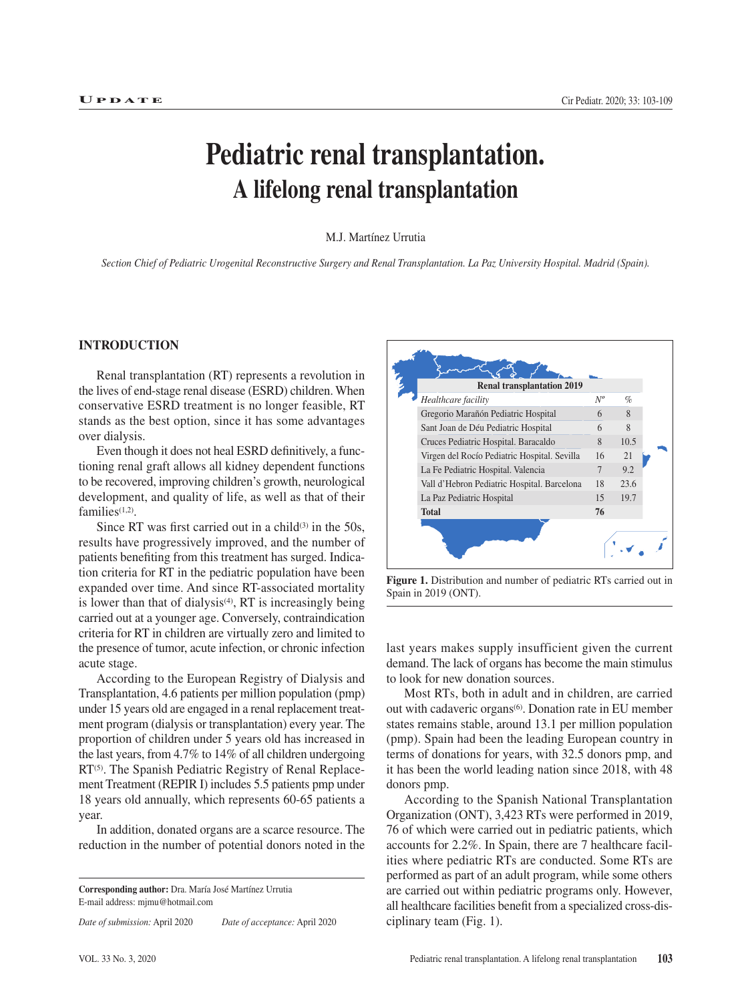# **Pediatric renal transplantation. A lifelong renal transplantation**

M.J. Martínez Urrutia

*Section Chief of Pediatric Urogenital Reconstructive Surgery and Renal Transplantation. La Paz University Hospital. Madrid (Spain).*

## **INTRODUCTION**

Renal transplantation (RT) represents a revolution in the lives of end-stage renal disease (ESRD) children. When conservative ESRD treatment is no longer feasible, RT stands as the best option, since it has some advantages over dialysis.

Even though it does not heal ESRD definitively, a functioning renal graft allows all kidney dependent functions to be recovered, improving children's growth, neurological development, and quality of life, as well as that of their families<sup>(1,2)</sup>.

Since RT was first carried out in a child $(3)$  in the 50s, results have progressively improved, and the number of patients benefiting from this treatment has surged. Indication criteria for RT in the pediatric population have been expanded over time. And since RT-associated mortality is lower than that of dialysis $(4)$ , RT is increasingly being carried out at a younger age. Conversely, contraindication criteria for RT in children are virtually zero and limited to the presence of tumor, acute infection, or chronic infection acute stage.

According to the European Registry of Dialysis and Transplantation, 4.6 patients per million population (pmp) under 15 years old are engaged in a renal replacement treatment program (dialysis or transplantation) every year. The proportion of children under 5 years old has increased in the last years, from 4.7% to 14% of all children undergoing RT<sup>(5)</sup>. The Spanish Pediatric Registry of Renal Replacement Treatment (REPIR I) includes 5.5 patients pmp under 18 years old annually, which represents 60-65 patients a year.

In addition, donated organs are a scarce resource. The reduction in the number of potential donors noted in the

**Corresponding author:** Dra. María José Martínez Urrutia E-mail address: mjmu@hotmail.com

*Date of submission:* April 2020 *Date of acceptance:* April 2020



**Figure 1.** Distribution and number of pediatric RTs carried out in Spain in 2019 (ONT).

last years makes supply insufficient given the current demand. The lack of organs has become the main stimulus to look for new donation sources.

Most RTs, both in adult and in children, are carried out with cadaveric organs<sup>(6)</sup>. Donation rate in EU member states remains stable, around 13.1 per million population (pmp). Spain had been the leading European country in terms of donations for years, with 32.5 donors pmp, and it has been the world leading nation since 2018, with 48 donors pmp.

According to the Spanish National Transplantation Organization (ONT), 3,423 RTs were performed in 2019, 76 of which were carried out in pediatric patients, which accounts for 2.2%. In Spain, there are 7 healthcare facilities where pediatric RTs are conducted. Some RTs are performed as part of an adult program, while some others are carried out within pediatric programs only. However, all healthcare facilities benefit from a specialized cross-disciplinary team (Fig. 1).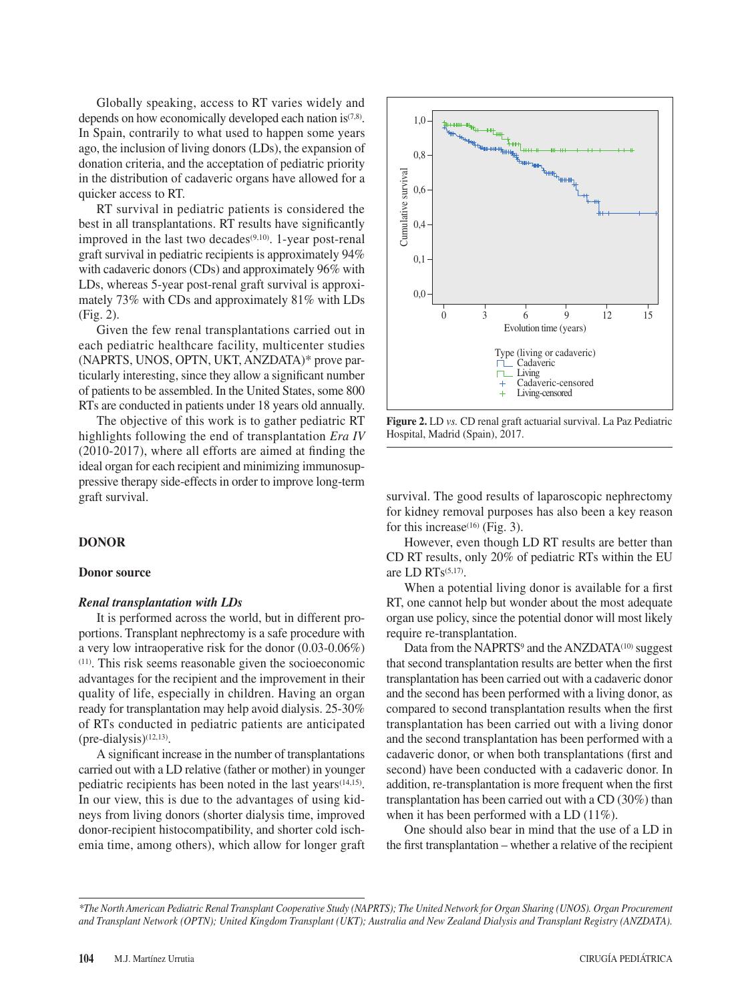Globally speaking, access to RT varies widely and depends on how economically developed each nation is(7,8). In Spain, contrarily to what used to happen some years ago, the inclusion of living donors (LDs), the expansion of donation criteria, and the acceptation of pediatric priority in the distribution of cadaveric organs have allowed for a quicker access to RT.

RT survival in pediatric patients is considered the best in all transplantations. RT results have significantly improved in the last two decades $(9,10)$ . 1-year post-renal graft survival in pediatric recipients is approximately 94% with cadaveric donors (CDs) and approximately 96% with LDs, whereas 5-year post-renal graft survival is approximately 73% with CDs and approximately 81% with LDs (Fig. 2).

Given the few renal transplantations carried out in each pediatric healthcare facility, multicenter studies (NAPRTS, UNOS, OPTN, UKT, ANZDATA)\* prove particularly interesting, since they allow a significant number of patients to be assembled. In the United States, some 800 RTs are conducted in patients under 18 years old annually.

The objective of this work is to gather pediatric RT highlights following the end of transplantation *Era IV* (2010-2017), where all efforts are aimed at finding the ideal organ for each recipient and minimizing immunosuppressive therapy side-effects in order to improve long-term graft survival.

### **DONOR**

#### **Donor source**

#### *Renal transplantation with LDs*

It is performed across the world, but in different proportions. Transplant nephrectomy is a safe procedure with a very low intraoperative risk for the donor (0.03-0.06%) (11). This risk seems reasonable given the socioeconomic advantages for the recipient and the improvement in their quality of life, especially in children. Having an organ ready for transplantation may help avoid dialysis. 25-30% of RTs conducted in pediatric patients are anticipated (pre-dialysis)(12,13).

A significant increase in the number of transplantations carried out with a LD relative (father or mother) in younger pediatric recipients has been noted in the last years(14,15). In our view, this is due to the advantages of using kidneys from living donors (shorter dialysis time, improved donor-recipient histocompatibility, and shorter cold ischemia time, among others), which allow for longer graft



**Figure 2.** LD *vs.* CD renal graft actuarial survival. La Paz Pediatric Hospital, Madrid (Spain), 2017.

survival. The good results of laparoscopic nephrectomy for kidney removal purposes has also been a key reason for this increase<sup>(16)</sup> (Fig. 3).

However, even though LD RT results are better than CD RT results, only 20% of pediatric RTs within the EU are LD RTs(5,17).

When a potential living donor is available for a first RT, one cannot help but wonder about the most adequate organ use policy, since the potential donor will most likely require re-transplantation.

Data from the NAPRTS<sup>9</sup> and the ANZDATA<sup>(10)</sup> suggest that second transplantation results are better when the first transplantation has been carried out with a cadaveric donor and the second has been performed with a living donor, as compared to second transplantation results when the first transplantation has been carried out with a living donor and the second transplantation has been performed with a cadaveric donor, or when both transplantations (first and second) have been conducted with a cadaveric donor. In addition, re-transplantation is more frequent when the first transplantation has been carried out with a CD (30%) than when it has been performed with a LD (11%).

One should also bear in mind that the use of a LD in

*<sup>\*</sup>The North American Pediatric Renal Transplant Cooperative Study (NAPRTS); The United Network for Organ Sharing (UNOS). Organ Procurement and Transplant Network (OPTN); United Kingdom Transplant (UKT); Australia and New Zealand Dialysis and Transplant Registry (ANZDATA).*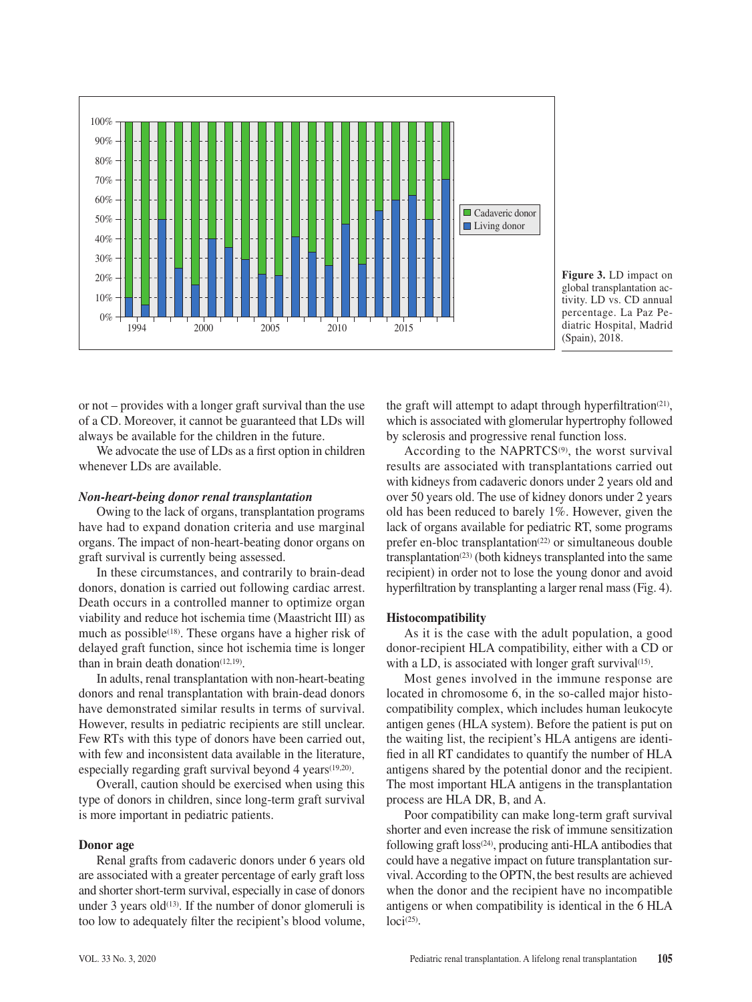

**Figure 3.** LD impact on global transplantation activity. LD vs. CD annual percentage. La Paz Pediatric Hospital, Madrid (Spain), 2018.

or not – provides with a longer graft survival than the use of a CD. Moreover, it cannot be guaranteed that LDs will always be available for the children in the future.

We advocate the use of LDs as a first option in children whenever LDs are available.

#### *Non-heart-being donor renal transplantation*

Owing to the lack of organs, transplantation programs have had to expand donation criteria and use marginal organs. The impact of non-heart-beating donor organs on graft survival is currently being assessed.

In these circumstances, and contrarily to brain-dead donors, donation is carried out following cardiac arrest. Death occurs in a controlled manner to optimize organ viability and reduce hot ischemia time (Maastricht III) as much as possible<sup> $(18)$ </sup>. These organs have a higher risk of delayed graft function, since hot ischemia time is longer than in brain death donation $(12,19)$ .

In adults, renal transplantation with non-heart-beating donors and renal transplantation with brain-dead donors have demonstrated similar results in terms of survival. However, results in pediatric recipients are still unclear. Few RTs with this type of donors have been carried out, with few and inconsistent data available in the literature, especially regarding graft survival beyond 4 years(19,20).

Overall, caution should be exercised when using this type of donors in children, since long-term graft survival is more important in pediatric patients.

#### **Donor age**

Renal grafts from cadaveric donors under 6 years old are associated with a greater percentage of early graft loss and shorter short-term survival, especially in case of donors under 3 years old<sup>(13)</sup>. If the number of donor glomeruli is too low to adequately filter the recipient's blood volume, the graft will attempt to adapt through hyperfiltration<sup>(21)</sup>, which is associated with glomerular hypertrophy followed by sclerosis and progressive renal function loss.

According to the NAPRTCS $(9)$ , the worst survival results are associated with transplantations carried out with kidneys from cadaveric donors under 2 years old and over 50 years old. The use of kidney donors under 2 years old has been reduced to barely 1%. However, given the lack of organs available for pediatric RT, some programs prefer en-bloc transplantation<sup>(22)</sup> or simultaneous double transplantation<sup>(23)</sup> (both kidneys transplanted into the same recipient) in order not to lose the young donor and avoid hyperfiltration by transplanting a larger renal mass (Fig. 4).

## **Histocompatibility**

As it is the case with the adult population, a good donor-recipient HLA compatibility, either with a CD or with a LD, is associated with longer graft survival $(15)$ .

Most genes involved in the immune response are located in chromosome 6, in the so-called major histocompatibility complex, which includes human leukocyte antigen genes (HLA system). Before the patient is put on the waiting list, the recipient's HLA antigens are identified in all RT candidates to quantify the number of HLA antigens shared by the potential donor and the recipient. The most important HLA antigens in the transplantation process are HLA DR, B, and A.

Poor compatibility can make long-term graft survival shorter and even increase the risk of immune sensitization following graft loss(24), producing anti-HLA antibodies that could have a negative impact on future transplantation survival. According to the OPTN, the best results are achieved when the donor and the recipient have no incompatible antigens or when compatibility is identical in the 6 HLA  $loci<sup>(25)</sup>$ .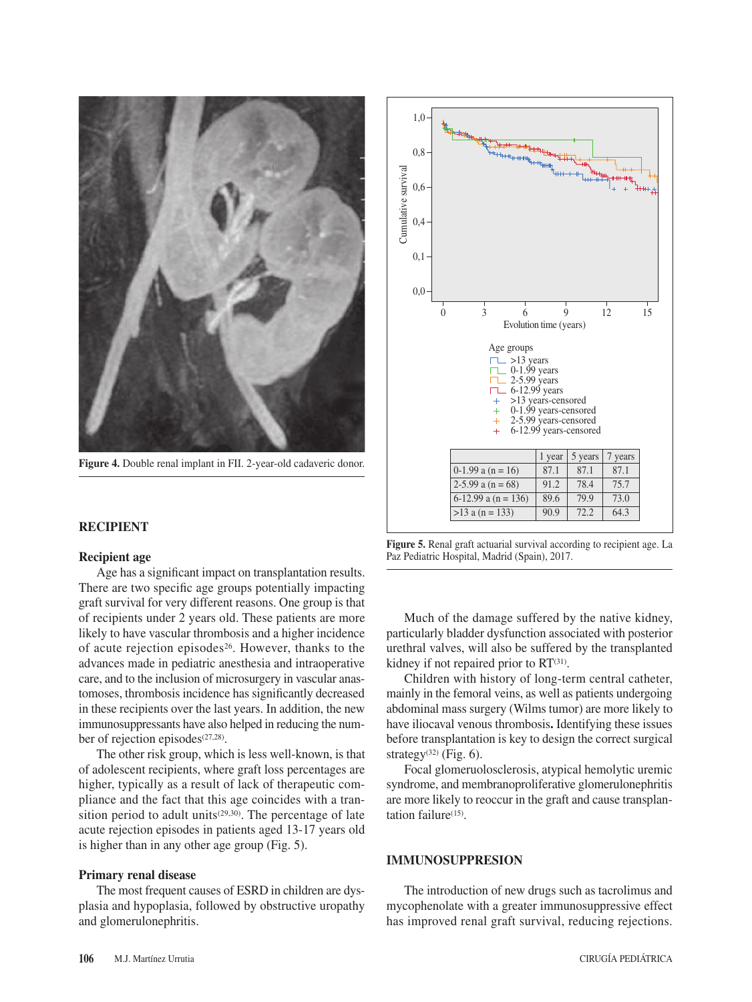

**Figure 4.** Double renal implant in FII. 2-year-old cadaveric donor.

### **RECIPIENT**

#### **Recipient age**

Age has a significant impact on transplantation results. There are two specific age groups potentially impacting graft survival for very different reasons. One group is that of recipients under 2 years old. These patients are more likely to have vascular thrombosis and a higher incidence of acute rejection episodes26. However, thanks to the advances made in pediatric anesthesia and intraoperative care, and to the inclusion of microsurgery in vascular anastomoses, thrombosis incidence has significantly decreased in these recipients over the last years. In addition, the new immunosuppressants have also helped in reducing the number of rejection episodes<sup>(27,28)</sup>.

The other risk group, which is less well-known, is that of adolescent recipients, where graft loss percentages are higher, typically as a result of lack of therapeutic compliance and the fact that this age coincides with a transition period to adult units<sup>(29,30)</sup>. The percentage of late acute rejection episodes in patients aged 13-17 years old is higher than in any other age group (Fig. 5).

#### **Primary renal disease**

The most frequent causes of ESRD in children are dysplasia and hypoplasia, followed by obstructive uropathy and glomerulonephritis.



**Figure 5.** Renal graft actuarial survival according to recipient age. La Paz Pediatric Hospital, Madrid (Spain), 2017.

Much of the damage suffered by the native kidney, particularly bladder dysfunction associated with posterior urethral valves, will also be suffered by the transplanted kidney if not repaired prior to  $RT^{(31)}$ .

Children with history of long-term central catheter, mainly in the femoral veins, as well as patients undergoing abdominal mass surgery (Wilms tumor) are more likely to have iliocaval venous thrombosis**.** Identifying these issues before transplantation is key to design the correct surgical strategy<sup>(32)</sup> (Fig. 6).

Focal glomeruolosclerosis, atypical hemolytic uremic syndrome, and membranoproliferative glomerulonephritis are more likely to reoccur in the graft and cause transplantation failure $(15)$ .

## **IMMUNOSUPPRESION**

The introduction of new drugs such as tacrolimus and mycophenolate with a greater immunosuppressive effect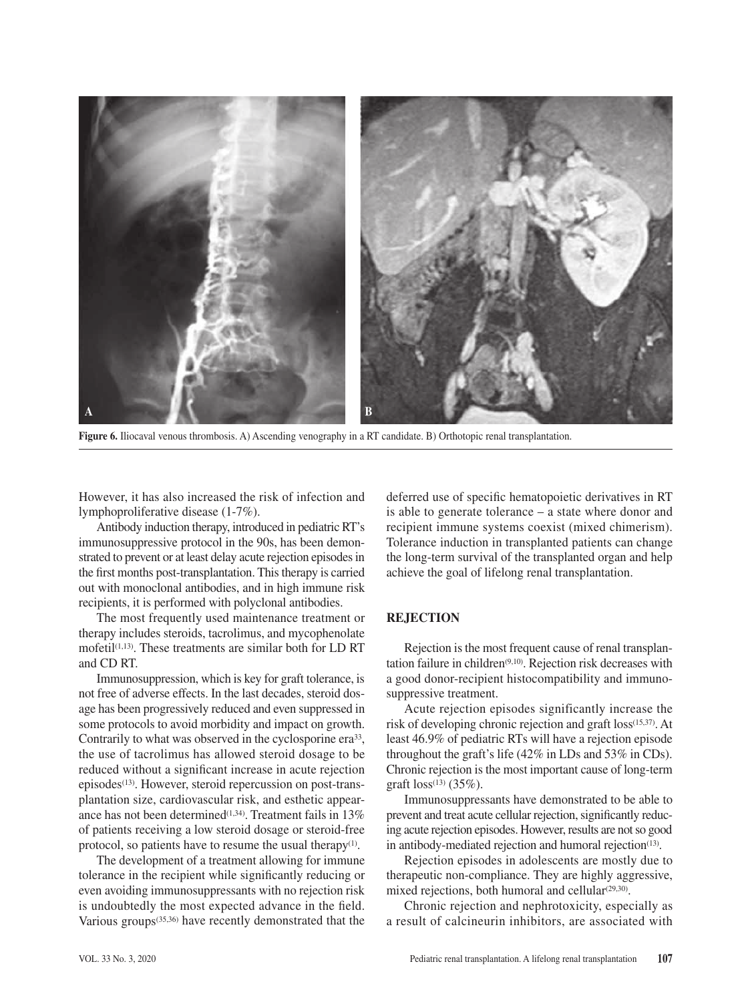

**Figure 6.** Iliocaval venous thrombosis. A) Ascending venography in a RT candidate. B) Orthotopic renal transplantation.

However, it has also increased the risk of infection and lymphoproliferative disease (1-7%).

Antibody induction therapy, introduced in pediatric RT's immunosuppressive protocol in the 90s, has been demonstrated to prevent or at least delay acute rejection episodes in the first months post-transplantation. This therapy is carried out with monoclonal antibodies, and in high immune risk recipients, it is performed with polyclonal antibodies.

The most frequently used maintenance treatment or therapy includes steroids, tacrolimus, and mycophenolate mofetil $(1,13)$ . These treatments are similar both for LD RT and CD RT.

Immunosuppression, which is key for graft tolerance, is not free of adverse effects. In the last decades, steroid dosage has been progressively reduced and even suppressed in some protocols to avoid morbidity and impact on growth. Contrarily to what was observed in the cyclosporine era<sup>33</sup>, the use of tacrolimus has allowed steroid dosage to be reduced without a significant increase in acute rejection episodes<sup>(13)</sup>. However, steroid repercussion on post-transplantation size, cardiovascular risk, and esthetic appearance has not been determined<sup>(1,34)</sup>. Treatment fails in 13% of patients receiving a low steroid dosage or steroid-free protocol, so patients have to resume the usual therapy<sup>(1)</sup>.

The development of a treatment allowing for immune tolerance in the recipient while significantly reducing or even avoiding immunosuppressants with no rejection risk is undoubtedly the most expected advance in the field. Various groups(35,36) have recently demonstrated that the deferred use of specific hematopoietic derivatives in RT is able to generate tolerance – a state where donor and recipient immune systems coexist (mixed chimerism). Tolerance induction in transplanted patients can change the long-term survival of the transplanted organ and help achieve the goal of lifelong renal transplantation.

## **REJECTION**

Rejection is the most frequent cause of renal transplantation failure in children<sup> $(9,10)$ </sup>. Rejection risk decreases with a good donor-recipient histocompatibility and immunosuppressive treatment.

Acute rejection episodes significantly increase the risk of developing chronic rejection and graft loss(15,37). At least 46.9% of pediatric RTs will have a rejection episode throughout the graft's life (42% in LDs and 53% in CDs). Chronic rejection is the most important cause of long-term graft  $loss^{(13)}$  (35%).

Immunosuppressants have demonstrated to be able to prevent and treat acute cellular rejection, significantly reducing acute rejection episodes. However, results are not so good in antibody-mediated rejection and humoral rejection<sup>(13)</sup>.

Rejection episodes in adolescents are mostly due to therapeutic non-compliance. They are highly aggressive, mixed rejections, both humoral and cellular $(29,30)$ .

Chronic rejection and nephrotoxicity, especially as a result of calcineurin inhibitors, are associated with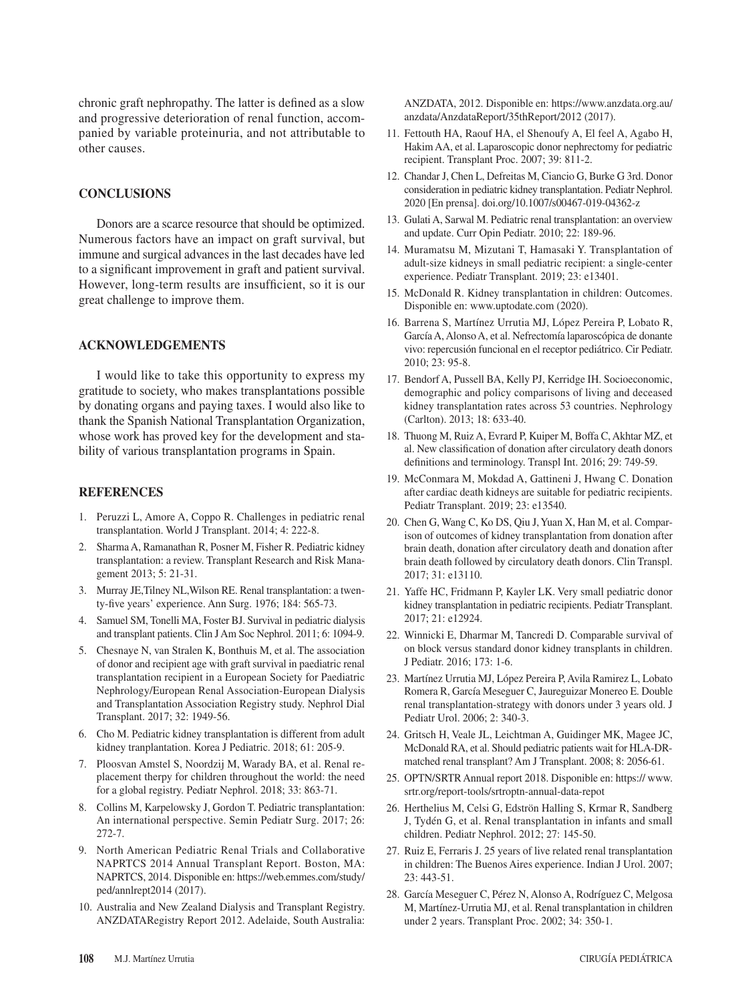chronic graft nephropathy. The latter is defined as a slow and progressive deterioration of renal function, accompanied by variable proteinuria, and not attributable to other causes.

## **CONCLUSIONS**

Donors are a scarce resource that should be optimized. Numerous factors have an impact on graft survival, but immune and surgical advances in the last decades have led to a significant improvement in graft and patient survival. However, long-term results are insufficient, so it is our great challenge to improve them.

## **ACKNOWLEDGEMENTS**

I would like to take this opportunity to express my gratitude to society, who makes transplantations possible by donating organs and paying taxes. I would also like to thank the Spanish National Transplantation Organization, whose work has proved key for the development and stability of various transplantation programs in Spain.

### **REFERENCES**

- 1. Peruzzi L, Amore A, Coppo R. Challenges in pediatric renal transplantation. World J Transplant. 2014; 4: 222-8.
- 2. Sharma A, Ramanathan R, Posner M, Fisher R. Pediatric kidney transplantation: a review. Transplant Research and Risk Management 2013; 5: 21-31.
- 3. Murray JE,Tilney NL,Wilson RE. Renal transplantation: a twenty-five years' experience. Ann Surg. 1976; 184: 565-73.
- 4. Samuel SM, Tonelli MA, Foster BJ. Survival in pediatric dialysis and transplant patients. Clin J Am Soc Nephrol. 2011; 6: 1094-9.
- 5. Chesnaye N, van Stralen K, Bonthuis M, et al. The association of donor and recipient age with graft survival in paediatric renal transplantation recipient in a European Society for Paediatric Nephrology/European Renal Association-European Dialysis and Transplantation Association Registry study. Nephrol Dial Transplant. 2017; 32: 1949-56.
- 6. Cho M. Pediatric kidney transplantation is different from adult kidney tranplantation. Korea J Pediatric. 2018; 61: 205-9.
- 7. Ploosvan Amstel S, Noordzij M, Warady BA, et al. Renal replacement therpy for children throughout the world: the need for a global registry. Pediatr Nephrol. 2018; 33: 863-71.
- 8. Collins M, Karpelowsky J, Gordon T. Pediatric transplantation: An international perspective. Semin Pediatr Surg. 2017; 26: 272-7.
- 9. North American Pediatric Renal Trials and Collaborative NAPRTCS 2014 Annual Transplant Report. Boston, MA: NAPRTCS, 2014. Disponible en: https://web.emmes.com/study/ ped/annlrept2014 (2017).
- 10. Australia and New Zealand Dialysis and Transplant Registry. ANZDATARegistry Report 2012. Adelaide, South Australia:

ANZDATA, 2012. Disponible en: https://www.anzdata.org.au/ anzdata/AnzdataReport/35thReport/2012 (2017).

- 11. Fettouth HA, Raouf HA, el Shenoufy A, El feel A, Agabo H, Hakim AA, et al. Laparoscopic donor nephrectomy for pediatric recipient. Transplant Proc. 2007; 39: 811-2.
- 12. Chandar J, Chen L, Defreitas M, Ciancio G, Burke G 3rd. Donor consideration in pediatric kidney transplantation. Pediatr Nephrol. 2020 [En prensa]. doi.org/10.1007/s00467-019-04362-z
- 13. Gulati A, Sarwal M. Pediatric renal transplantation: an overview and update. Curr Opin Pediatr. 2010; 22: 189-96.
- 14. Muramatsu M, Mizutani T, Hamasaki Y. Transplantation of adult-size kidneys in small pediatric recipient: a single-center experience. Pediatr Transplant. 2019; 23: e13401.
- 15. McDonald R. Kidney transplantation in children: Outcomes. Disponible en: www.uptodate.com (2020).
- 16. Barrena S, Martínez Urrutia MJ, López Pereira P, Lobato R, García A, Alonso A, et al. Nefrectomía laparoscópica de donante vivo: repercusión funcional en el receptor pediátrico. Cir Pediatr. 2010; 23: 95-8.
- 17. Bendorf A, Pussell BA, Kelly PJ, Kerridge IH. Socioeconomic, demographic and policy comparisons of living and deceased kidney transplantation rates across 53 countries. Nephrology (Carlton). 2013; 18: 633-40.
- 18. Thuong M, Ruiz A, Evrard P, Kuiper M, Boffa C, Akhtar MZ, et al. New classification of donation after circulatory death donors definitions and terminology. Transpl Int. 2016; 29: 749-59.
- 19. McConmara M, Mokdad A, Gattineni J, Hwang C. Donation after cardiac death kidneys are suitable for pediatric recipients. Pediatr Transplant. 2019; 23: e13540.
- 20. Chen G, Wang C, Ko DS, Qiu J, Yuan X, Han M, et al. Comparison of outcomes of kidney transplantation from donation after brain death, donation after circulatory death and donation after brain death followed by circulatory death donors. Clin Transpl. 2017; 31: e13110.
- 21. Yaffe HC, Fridmann P, Kayler LK. Very small pediatric donor kidney transplantation in pediatric recipients. Pediatr Transplant. 2017; 21: e12924.
- 22. Winnicki E, Dharmar M, Tancredi D. Comparable survival of on block versus standard donor kidney transplants in children. J Pediatr. 2016; 173: 1-6.
- 23. Martínez Urrutia MJ, López Pereira P, Avila Ramirez L, Lobato Romera R, García Meseguer C, Jaureguizar Monereo E. Double renal transplantation-strategy with donors under 3 years old. J Pediatr Urol. 2006; 2: 340-3.
- 24. Gritsch H, Veale JL, Leichtman A, Guidinger MK, Magee JC, McDonald RA, et al. Should pediatric patients wait for HLA-DRmatched renal transplant? Am J Transplant. 2008; 8: 2056-61.
- 25. OPTN/SRTR Annual report 2018. Disponible en: https:// www. srtr.org/report-tools/srtroptn-annual-data-repot
- 26. Herthelius M, Celsi G, Edströn Halling S, Krmar R, Sandberg J, Tydén G, et al. Renal transplantation in infants and small children. Pediatr Nephrol. 2012; 27: 145-50.
- 27. Ruiz E, Ferraris J. 25 years of live related renal transplantation in children: The Buenos Aires experience. Indian J Urol. 2007; 23: 443-51.
- 28. García Meseguer C, Pérez N, Alonso A, Rodríguez C, Melgosa M, Martínez-Urrutia MJ, et al. Renal transplantation in children under 2 years. Transplant Proc. 2002; 34: 350-1.